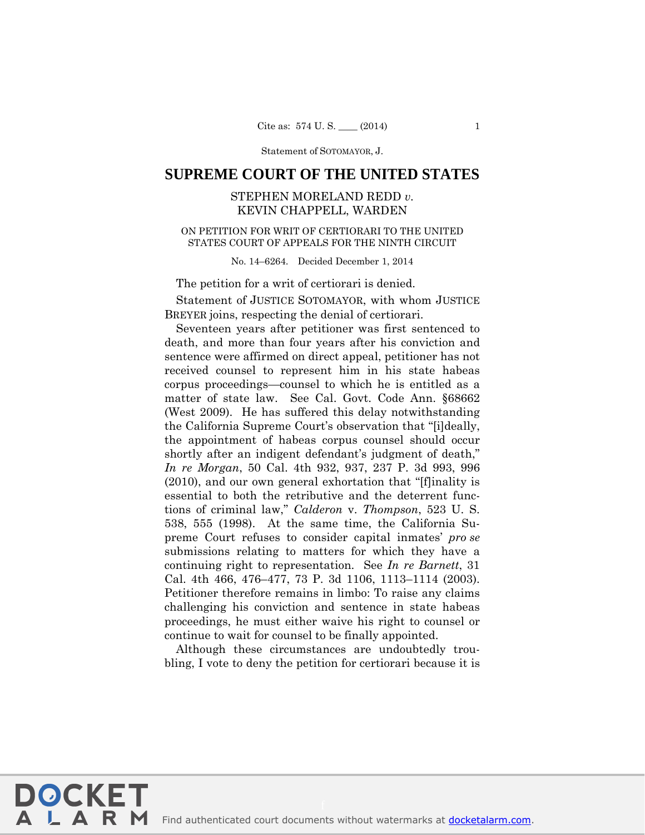Statement of SOTOMAYOR, J.

# **SUPREME COURT OF THE UNITED STATES**

# STEPHEN MORELAND REDD *v.* KEVIN CHAPPELL, WARDEN

## ON PETITION FOR WRIT OF CERTIORARI TO THE UNITED STATES COURT OF APPEALS FOR THE NINTH CIRCUIT

No. 14–6264. Decided December 1, 2014

### The petition for a writ of certiorari is denied.

 Statement of JUSTICE SOTOMAYOR, with whom JUSTICE BREYER joins, respecting the denial of certiorari.

 tions of criminal law," *Calderon* v. *Thompson*, 523 U. S. Cal. 4th 466, 476–477, 73 P. 3d 1106, 1113–1114 (2003). Seventeen years after petitioner was first sentenced to death, and more than four years after his conviction and sentence were affirmed on direct appeal, petitioner has not received counsel to represent him in his state habeas corpus proceedings—counsel to which he is entitled as a matter of state law. See Cal. Govt. Code Ann. §68662 (West 2009). He has suffered this delay notwithstanding the California Supreme Court's observation that "[i]deally, the appointment of habeas corpus counsel should occur shortly after an indigent defendant's judgment of death," *In re Morgan*, 50 Cal. 4th 932, 937, 237 P. 3d 993, 996 (2010), and our own general exhortation that "[f]inality is essential to both the retributive and the deterrent func-538, 555 (1998). At the same time, the California Supreme Court refuses to consider capital inmates' *pro se* submissions relating to matters for which they have a continuing right to representation. See *In re Barnett*, 31 Petitioner therefore remains in limbo: To raise any claims challenging his conviction and sentence in state habeas proceedings, he must either waive his right to counsel or continue to wait for counsel to be finally appointed.

Although these circumstances are undoubtedly troubling, I vote to deny the petition for certiorari because it is

**DOCKET** 

LARM